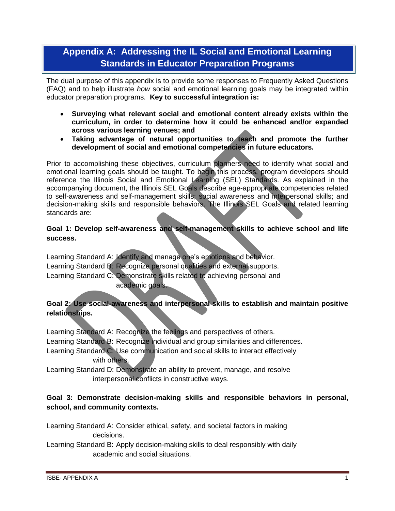# **Appendix A: Addressing the IL Social and Emotional Learning Standards in Educator Preparation Programs**

The dual purpose of this appendix is to provide some responses to Frequently Asked Questions (FAQ) and to help illustrate *how* social and emotional learning goals may be integrated within educator preparation programs. **Key to successful integration is:** 

- **Surveying what relevant social and emotional content already exists within the curriculum, in order to determine how it could be enhanced and/or expanded across various learning venues; and**
- **Taking advantage of natural opportunities to teach and promote the further development of social and emotional competencies in future educators.**

Prior to accomplishing these objectives, curriculum planners need to identify what social and emotional learning goals should be taught. To begin this process, program developers should reference the Illinois Social and Emotional Learning (SEL) Standards. As explained in the accompanying document, the Illinois SEL Goals describe age-appropriate competencies related to self-awareness and self-management skills; social awareness and interpersonal skills; and decision-making skills and responsible behaviors. The Illinois SEL Goals and related learning standards are:

#### **Goal 1: Develop self-awareness and self-management skills to achieve school and life success.**

Learning Standard A: Identify and manage one's emotions and behavior. Learning Standard B: Recognize personal qualities and external supports. Learning Standard C: Demonstrate skills related to achieving personal and academic goals.

# **Goal 2: Use social-awareness and interpersonal skills to establish and maintain positive relationships.**

Learning Standard A: Recognize the feelings and perspectives of others. Learning Standard B: Recognize individual and group similarities and differences. Learning Standard C: Use communication and social skills to interact effectively with others.

Learning Standard D: Demonstrate an ability to prevent, manage, and resolve interpersonal conflicts in constructive ways.

### **Goal 3: Demonstrate decision-making skills and responsible behaviors in personal, school, and community contexts.**

Learning Standard A: Consider ethical, safety, and societal factors in making decisions.

Learning Standard B: Apply decision-making skills to deal responsibly with daily academic and social situations.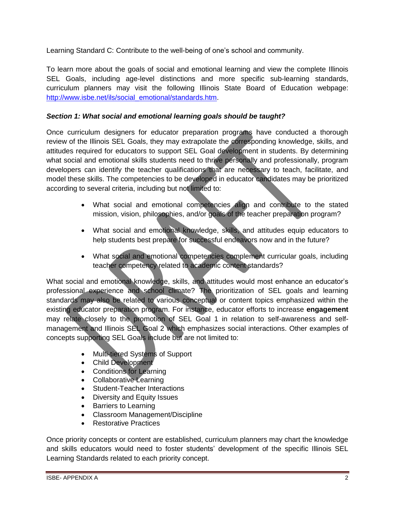Learning Standard C: Contribute to the well-being of one's school and community.

To learn more about the goals of social and emotional learning and view the complete Illinois SEL Goals, including age-level distinctions and more specific sub-learning standards, curriculum planners may visit the following Illinois State Board of Education webpage: [http://www.isbe.net/ils/social\\_emotional/standards.htm.](http://www.isbe.net/ils/social_emotional/standards.htm)

## *Section 1: What social and emotional learning goals should be taught?*

Once curriculum designers for educator preparation programs have conducted a thorough review of the Illinois SEL Goals, they may extrapolate the corresponding knowledge, skills, and attitudes required for educators to support SEL Goal development in students. By determining what social and emotional skills students need to thrive personally and professionally, program developers can identify the teacher qualifications that are necessary to teach, facilitate, and model these skills. The competencies to be developed in educator candidates may be prioritized according to several criteria, including but not limited to:

- What social and emotional competencies align and contribute to the stated mission, vision, philosophies, and/or goals of the teacher preparation program?
- What social and emotional knowledge, skills, and attitudes equip educators to help students best prepare for successful endeavors now and in the future?
- What social and emotional competencies complement curricular goals, including teacher competency related to academic content standards?

What social and emotional knowledge, skills, and attitudes would most enhance an educator's professional experience and school climate? The prioritization of SEL goals and learning standards may also be related to various conceptual or content topics emphasized within the existing educator preparation program. For instance, educator efforts to increase **engagement** may relate closely to the promotion of SEL Goal 1 in relation to self-awareness and selfmanagement and Illinois SEL Goal 2 which emphasizes social interactions. Other examples of concepts supporting SEL Goals include but are not limited to:

- Multi-tiered Systems of Support
- Child Development
- Conditions for Learning
- Collaborative Learning
- Student-Teacher Interactions
- Diversity and Equity Issues
- Barriers to Learning
- Classroom Management/Discipline
- **•** Restorative Practices

Once priority concepts or content are established, curriculum planners may chart the knowledge and skills educators would need to foster students' development of the specific Illinois SEL Learning Standards related to each priority concept.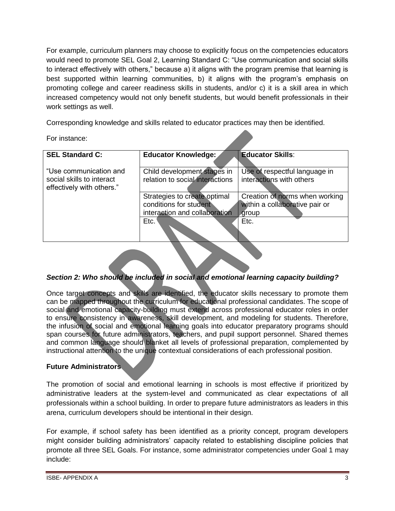For example, curriculum planners may choose to explicitly focus on the competencies educators would need to promote SEL Goal 2, Learning Standard C: "Use communication and social skills to interact effectively with others," because a) it aligns with the program premise that learning is best supported within learning communities, b) it aligns with the program's emphasis on promoting college and career readiness skills in students, and/or c) it is a skill area in which increased competency would not only benefit students, but would benefit professionals in their work settings as well.

Corresponding knowledge and skills related to educator practices may then be identified.

For instance:

| <b>SEL Standard C:</b>                                                           | Educator Knowledge:                                                                     | <b>Educator Skills:</b>                                                   |  |
|----------------------------------------------------------------------------------|-----------------------------------------------------------------------------------------|---------------------------------------------------------------------------|--|
| "Use communication and<br>social skills to interact<br>effectively with others." | Child development stages in<br>relation to social interactions                          | Use of respectful language in<br>interactions with others                 |  |
|                                                                                  | Strategies to create optimal<br>conditions for student<br>interaction and collaboration | Creation of norms when working<br>within a collaborative pair or<br>group |  |
|                                                                                  | Etc.                                                                                    | Etc.                                                                      |  |
|                                                                                  |                                                                                         |                                                                           |  |

### *Section 2: Who should be included in social and emotional learning capacity building?*

Once target concepts and skills are identified, the educator skills necessary to promote them can be mapped throughout the curriculum for educational professional candidates. The scope of social and emotional capacity-building must extend across professional educator roles in order to ensure consistency in awareness, skill development, and modeling for students. Therefore, the infusion of social and emotional learning goals into educator preparatory programs should span courses for future administrators, teachers, and pupil support personnel. Shared themes and common language should blanket all levels of professional preparation, complemented by instructional attention to the unique contextual considerations of each professional position.

### **Future Administrators**

The promotion of social and emotional learning in schools is most effective if prioritized by administrative leaders at the system-level and communicated as clear expectations of all professionals within a school building. In order to prepare future administrators as leaders in this arena, curriculum developers should be intentional in their design.

For example, if school safety has been identified as a priority concept, program developers might consider building administrators' capacity related to establishing discipline policies that promote all three SEL Goals. For instance, some administrator competencies under Goal 1 may include: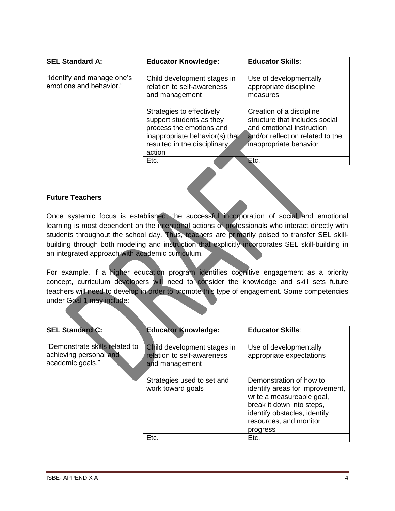| <b>SEL Standard A:</b>                                | <b>Educator Knowledge:</b>                                                                                                                                    | <b>Educator Skills:</b>                                                                                                                               |
|-------------------------------------------------------|---------------------------------------------------------------------------------------------------------------------------------------------------------------|-------------------------------------------------------------------------------------------------------------------------------------------------------|
| "Identify and manage one's<br>emotions and behavior." | Child development stages in<br>relation to self-awareness<br>and management                                                                                   | Use of developmentally<br>appropriate discipline<br>measures                                                                                          |
|                                                       | Strategies to effectively<br>support students as they<br>process the emotions and<br>inappropriate behavior(s) that<br>resulted in the disciplinary<br>action | Creation of a discipline<br>structure that includes social<br>and emotional instruction<br>and/or reflection related to the<br>inappropriate behavior |
|                                                       | Etc.                                                                                                                                                          | Etc.                                                                                                                                                  |

#### **Future Teachers**

Once systemic focus is established, the successful incorporation of social and emotional learning is most dependent on the intentional actions of professionals who interact directly with students throughout the school day. Thus, teachers are primarily poised to transfer SEL skillbuilding through both modeling and instruction that explicitly incorporates SEL skill-building in an integrated approach with academic curriculum.

For example, if a higher education program identifies cognitive engagement as a priority concept, curriculum developers will need to consider the knowledge and skill sets future teachers will need to develop in order to promote this type of engagement. Some competencies under Goal 1 may include:

| <b>SEL Standard C:</b>                                                       | <b>Educator Knowledge:</b>                                                  | <b>Educator Skills:</b>                                                                                                                                                                    |
|------------------------------------------------------------------------------|-----------------------------------------------------------------------------|--------------------------------------------------------------------------------------------------------------------------------------------------------------------------------------------|
| "Demonstrate skills related to<br>achieving personal and<br>academic goals." | Child development stages in<br>relation to self-awareness<br>and management | Use of developmentally<br>appropriate expectations                                                                                                                                         |
|                                                                              | Strategies used to set and<br>work toward goals                             | Demonstration of how to<br>identify areas for improvement,<br>write a measureable goal,<br>break it down into steps,<br>identify obstacles, identify<br>resources, and monitor<br>progress |
|                                                                              | Etc.                                                                        | Etc.                                                                                                                                                                                       |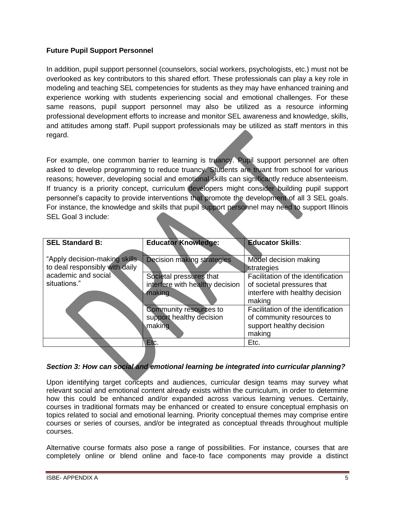## **Future Pupil Support Personnel**

In addition, pupil support personnel (counselors, social workers, psychologists, etc.) must not be overlooked as key contributors to this shared effort. These professionals can play a key role in modeling and teaching SEL competencies for students as they may have enhanced training and experience working with students experiencing social and emotional challenges. For these same reasons, pupil support personnel may also be utilized as a resource informing professional development efforts to increase and monitor SEL awareness and knowledge, skills, and attitudes among staff. Pupil support professionals may be utilized as staff mentors in this regard.

For example, one common barrier to learning is truancy. Pupil support personnel are often asked to develop programming to reduce truancy. Students are truant from school for various reasons; however, developing social and emotional skills can significantly reduce absenteeism. If truancy is a priority concept, curriculum developers might consider building pupil support personnel's capacity to provide interventions that promote the development of all 3 SEL goals. For instance, the knowledge and skills that pupil support personnel may need to support Illinois SEL Goal 3 include:

| <b>SEL Standard B:</b>                                          | <b>Educator Knowledge:</b>                                           | <b>Educator Skills:</b>                                                                                       |
|-----------------------------------------------------------------|----------------------------------------------------------------------|---------------------------------------------------------------------------------------------------------------|
| "Apply decision-making skills<br>to deal responsibly with daily | Decision making strategies                                           | Model decision making<br>strategies                                                                           |
| academic and social<br>situations."                             | Societal pressures that<br>interfere with healthy decision<br>making | Facilitation of the identification<br>of societal pressures that<br>interfere with healthy decision<br>making |
|                                                                 | Community resources to<br>support healthy decision<br>making         | Facilitation of the identification<br>of community resources to<br>support healthy decision<br>making         |
|                                                                 | Etc.                                                                 | Etc.                                                                                                          |

### *Section 3: How can social and emotional learning be integrated into curricular planning?*

Upon identifying target concepts and audiences, curricular design teams may survey what relevant social and emotional content already exists within the curriculum, in order to determine how this could be enhanced and/or expanded across various learning venues. Certainly, courses in traditional formats may be enhanced or created to ensure conceptual emphasis on topics related to social and emotional learning. Priority conceptual themes may comprise entire courses or series of courses, and/or be integrated as conceptual threads throughout multiple courses.

Alternative course formats also pose a range of possibilities. For instance, courses that are completely online or blend online and face-to face components may provide a distinct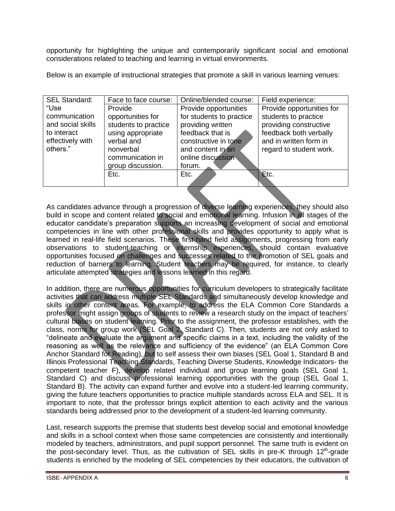opportunity for highlighting the unique and contemporarily significant social and emotional considerations related to teaching and learning in virtual environments.

Below is an example of instructional strategies that promote a skill in various learning venues:

| <b>SEL Standard:</b> | Face to face course: | Online/blended course:   | Field experience:         |
|----------------------|----------------------|--------------------------|---------------------------|
| "Use                 | Provide              | Provide opportunities    | Provide opportunities for |
| communication        | opportunities for    | for students to practice | students to practice      |
| and social skills    | students to practice | providing written        | providing constructive    |
| to interact          | using appropriate    | feedback that is         | feedback both verbally    |
| effectively with     | verbal and           | constructive in tone     | and in written form in    |
| others."             | nonverbal            | and content in an        | regard to student work.   |
|                      | communication in     | online discussion        |                           |
|                      | group discussion.    | forum.                   |                           |
|                      | Etc.                 | Etc.                     | Etc.                      |
|                      |                      |                          |                           |

As candidates advance through a progression of diverse learning experiences, they should also build in scope and content related to social and emotional learning. Infusion in all stages of the educator candidate's preparation supports an increasing development of social and emotional competencies in line with other professional skills and provides opportunity to apply what is learned in real-life field scenarios. These first-hand field assignments, progressing from early observations to student-teaching or internship experiences, should contain evaluative opportunities focused on challenges and successes related to the promotion of SEL goals and reduction of barriers to learning. Student teachers may be required, for instance, to clearly articulate attempted strategies and lessons learned in this regard.

In addition, there are numerous opportunities for curriculum developers to strategically facilitate activities that can address multiple SEL Standards and simultaneously develop knowledge and skills in other content areas. For example, to address the ELA Common Core Standards a professor might assign groups of students to review a research study on the impact of teachers' cultural biases on student learning. Prior to the assignment, the professor establishes, with the class, norms for group work (SEL Goal 2, Standard C). Then, students are not only asked to "delineate and evaluate the argument and specific claims in a text, including the validity of the reasoning as well as the relevance and sufficiency of the evidence" (an ELA Common Core Anchor Standard for Reading), but to self assess their own biases (SEL Goal 1, Standard B and Illinois Professional Teaching Standards, Teaching Diverse Students, Knowledge Indicators- the competent teacher F), develop related individual and group learning goals (SEL Goal 1, Standard C) and discuss professional learning opportunities with the group (SEL Goal 1, Standard B). The activity can expand further and evolve into a student-led learning community, giving the future teachers opportunities to practice multiple standards across ELA and SEL. It is important to note, that the professor brings explicit attention to each activity and the various standards being addressed prior to the development of a student-led learning community.

Last, research supports the premise that students best develop social and emotional knowledge and skills in a school context when those same competencies are consistently and intentionally modeled by teachers, administrators, and pupil support personnel. The same truth is evident on the post-secondary level. Thus, as the cultivation of SEL skills in pre-K through  $12<sup>th</sup>$ -grade students is enriched by the modeling of SEL competencies by their educators, the cultivation of